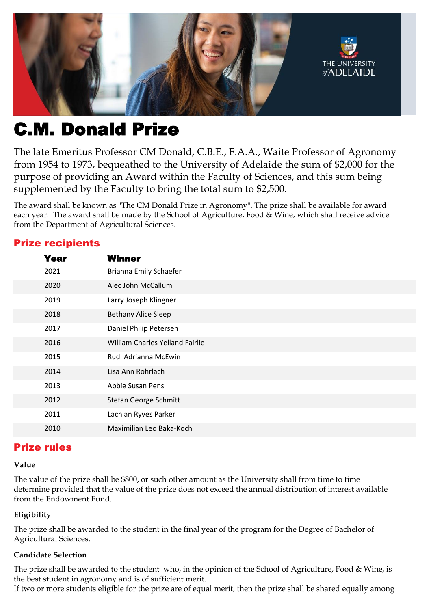

# C.M. Donald Prize

The late Emeritus Professor CM Donald, C.B.E., F.A.A., Waite Professor of Agronomy from 1954 to 1973, bequeathed to the University of Adelaide the sum of \$2,000 for the purpose of providing an Award within the Faculty of Sciences, and this sum being supplemented by the Faculty to bring the total sum to \$2,500.

The award shall be known as "The CM Donald Prize in Agronomy". The prize shall be available for award each year. The award shall be made by the School of Agriculture, Food & Wine, which shall receive advice from the Department of Agricultural Sciences.

## Prize recipients

| <b>Year</b> | <b>Winner</b>                   |
|-------------|---------------------------------|
| 2021        | <b>Brianna Emily Schaefer</b>   |
| 2020        | Alec John McCallum              |
| 2019        | Larry Joseph Klingner           |
| 2018        | <b>Bethany Alice Sleep</b>      |
| 2017        | Daniel Philip Petersen          |
| 2016        | William Charles Yelland Fairlie |
| 2015        | Rudi Adrianna McEwin            |
| 2014        | Lisa Ann Rohrlach               |
| 2013        | <b>Abbie Susan Pens</b>         |
| 2012        | Stefan George Schmitt           |
| 2011        | Lachlan Ryves Parker            |
| 2010        | Maximilian Leo Baka-Koch        |

## Prize rules

#### **Value**

The value of the prize shall be \$800, or such other amount as the University shall from time to time determine provided that the value of the prize does not exceed the annual distribution of interest available from the Endowment Fund.

#### **Eligibility**

The prize shall be awarded to the student in the final year of the program for the Degree of Bachelor of Agricultural Sciences.

#### **Candidate Selection**

The prize shall be awarded to the student who, in the opinion of the School of Agriculture, Food & Wine, is the best student in agronomy and is of sufficient merit. If two or more students eligible for the prize are of equal merit, then the prize shall be shared equally among